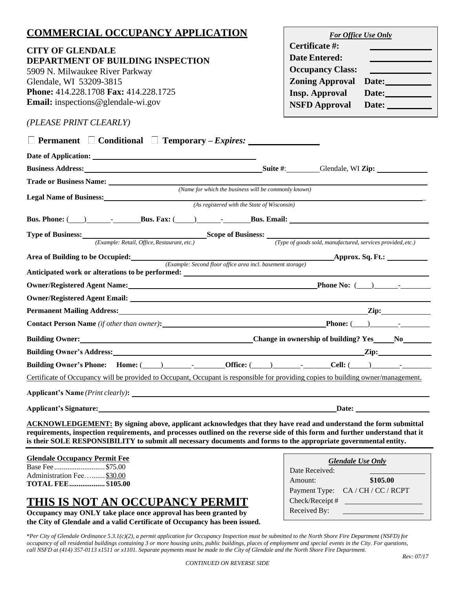## **COMMERCIAL OCCUPANCY APPLICATION**

# **CITY OF GLENDALE**

**DEPARTMENT OF BUILDING INSPECTION** 5909 N. Milwaukee River Parkway Glendale, WI 53209-3815 **Phone:** 414.228.1708 **Fax:** 414.228.1725 **Email:** [inspections@glendale-wi.gov](mailto:inspections@glendale-wi.gov)

| For Office Use Only     |       |  |
|-------------------------|-------|--|
| Certificate #:          |       |  |
| <b>Date Entered:</b>    |       |  |
| <b>Occupancy Class:</b> |       |  |
| <b>Zoning Approval</b>  | Date: |  |
| <b>Insp. Approval</b>   | Date: |  |
| <b>NSFD Approval</b>    | Date: |  |
|                         |       |  |

### *(PLEASE PRINT CLEARLY)*

| $\Box$ Permanent $\Box$ Conditional $\Box$ Temporary – Expires: $\Box$                                                                                                                                                                                                                                                                                                      |                                                             |
|-----------------------------------------------------------------------------------------------------------------------------------------------------------------------------------------------------------------------------------------------------------------------------------------------------------------------------------------------------------------------------|-------------------------------------------------------------|
|                                                                                                                                                                                                                                                                                                                                                                             |                                                             |
| <b>Business Address:</b> Suite #: Suite #: Suite #: Glendale, WI Zip:                                                                                                                                                                                                                                                                                                       |                                                             |
|                                                                                                                                                                                                                                                                                                                                                                             |                                                             |
| (Name for which the business will be commonly known)<br>Legal Name of Business: Name of Business:                                                                                                                                                                                                                                                                           |                                                             |
| (As registered with the State of Wisconsin)                                                                                                                                                                                                                                                                                                                                 |                                                             |
|                                                                                                                                                                                                                                                                                                                                                                             |                                                             |
| <b>Type of Business:</b><br>( <i>Example: Retail, Office, Restaurant, etc.</i> ) <b>Scope of Business:</b> ( <i>Type of goods sold, manufacture</i> ) ( <i>Type of goods sold, manufacture</i> )                                                                                                                                                                            |                                                             |
|                                                                                                                                                                                                                                                                                                                                                                             | (Type of goods sold, manufactured, services provided, etc.) |
| Area of Building to be Occupied: <i>(Example: Second floor office area incl. basement storage)</i>                                                                                                                                                                                                                                                                          | <b>Approx. Sq. Ft.:</b>                                     |
| Anticipated work or alterations to be performed: ________________________________                                                                                                                                                                                                                                                                                           |                                                             |
|                                                                                                                                                                                                                                                                                                                                                                             |                                                             |
|                                                                                                                                                                                                                                                                                                                                                                             |                                                             |
|                                                                                                                                                                                                                                                                                                                                                                             |                                                             |
| Contact Person Name (if other than owner): Phone: (2003) Phone: (2004) Phone: (2006)                                                                                                                                                                                                                                                                                        |                                                             |
|                                                                                                                                                                                                                                                                                                                                                                             |                                                             |
|                                                                                                                                                                                                                                                                                                                                                                             |                                                             |
| Building Owner's Phone: Home: $(\_\_)$ - Cffice: $(\_\_)$ - Cell: $(\_\_)$                                                                                                                                                                                                                                                                                                  |                                                             |
| Certificate of Occupancy will be provided to Occupant, Occupant is responsible for providing copies to building owner/management.                                                                                                                                                                                                                                           |                                                             |
|                                                                                                                                                                                                                                                                                                                                                                             |                                                             |
|                                                                                                                                                                                                                                                                                                                                                                             |                                                             |
| <b>ACKNOWLEDGEMENT:</b> By signing above, applicant acknowledges that they have read and understand the form submittal<br>requirements, inspection requirements, and processes outlined on the reverse side of this form and further understand that it<br>is their SOLE RESPONSIBILITY to submit all necessary documents and forms to the appropriate governmental entity. |                                                             |
| Claudele Oceanoner Dennit Fee                                                                                                                                                                                                                                                                                                                                               |                                                             |

## **Glendale Occupancy Permit Fee**

Base Fee ...........................\$75.00 Administration Fee….......\$30.00 **TOTAL FEE...................** \$**105.00**

## **THIS IS NOT AN OCCUPANCY PERMIT**

**Occupancy may ONLY take place once approval has been granted by the City of Glendale and a valid Certificate of Occupancy has been issued.**

| <b>Glendale Use Only</b> |                                   |  |
|--------------------------|-----------------------------------|--|
| Date Received:           |                                   |  |
| Amount:                  | \$105.00                          |  |
|                          | Payment Type: CA / CH / CC / RCPT |  |
| Check/Receipt#           |                                   |  |
| Received By:             |                                   |  |

\**Per City of Glendale Ordinance 5.3.1(c)(2), a permit application for Occupancy Inspection must be submitted to the North Shore Fire Department (NSFD) for occupancy of all residential buildings containing 3 or more housing units, public buildings, places of employment and special events in the City. For questions, call NSFD at (414) 357-0113 x1511 or x1101. Separate payments must be made to the City of Glendale and the North Shore Fire Department.*